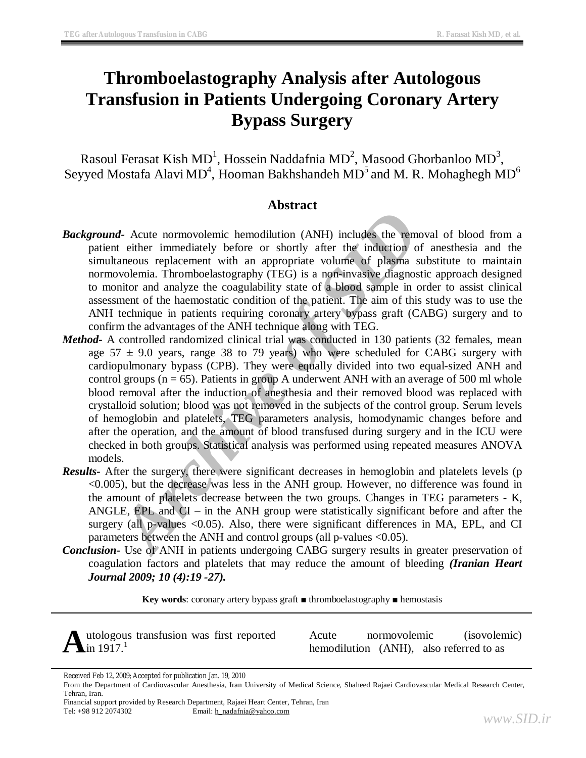# **Thromboelastography Analysis after Autologous Transfusion in Patients Undergoing Coronary Artery Bypass Surgery**

Rasoul Ferasat Kish MD<sup>1</sup>, Hossein Naddafnia MD<sup>2</sup>, Masood Ghorbanloo MD<sup>3</sup>, Seyyed Mostafa Alavi $\rm MD^4$ , Hooman Bakhshandeh  $\rm MD^5$  and  $\rm M$ . R. Mohaghegh  $\rm MD^6$ 

# **Abstract**

- *Background-* Acute normovolemic hemodilution (ANH) includes the removal of blood from a patient either immediately before or shortly after the induction of anesthesia and the simultaneous replacement with an appropriate volume of plasma substitute to maintain normovolemia. Thromboelastography (TEG) is a non-invasive diagnostic approach designed to monitor and analyze the coagulability state of a blood sample in order to assist clinical assessment of the haemostatic condition of the patient. The aim of this study was to use the ANH technique in patients requiring coronary artery bypass graft (CABG) surgery and to confirm the advantages of the ANH technique along with TEG.
- *A*-Acute normovolemic hemodiatric mix-alges the removal<br>t either immediately before of shortly after the induction of a<br>raneous replacement with an appropriate volume of plasma subs<br>volemia. Thromboelastography (TEG) is a *Method-* A controlled randomized clinical trial was conducted in 130 patients (32 females, mean age  $57 \pm 9.0$  years, range 38 to 79 years) who were scheduled for CABG surgery with cardiopulmonary bypass (CPB). They were equally divided into two equal-sized ANH and control groups ( $n = 65$ ). Patients in group A underwent ANH with an average of 500 ml whole blood removal after the induction of anesthesia and their removed blood was replaced with crystalloid solution; blood was not removed in the subjects of the control group. Serum levels of hemoglobin and platelets, TEG parameters analysis, homodynamic changes before and after the operation, and the amount of blood transfused during surgery and in the ICU were checked in both groups. Statistical analysis was performed using repeated measures ANOVA models.
- *Results-* After the surgery, there were significant decreases in hemoglobin and platelets levels (p <0.005), but the decrease was less in the ANH group. However, no difference was found in the amount of platelets decrease between the two groups. Changes in TEG parameters - K, ANGLE,  $EPL$  and  $CI - in$  the ANH group were statistically significant before and after the surgery (all p-values <0.05). Also, there were significant differences in MA, EPL, and CI parameters between the ANH and control groups (all p-values <0.05).
- *Conclusion-* Use of ANH in patients undergoing CABG surgery results in greater preservation of coagulation factors and platelets that may reduce the amount of bleeding *(Iranian Heart Journal 2009; 10 (4):19 -27).*

**Key words**: coronary artery bypass graft ■ thromboelastography ■ hemostasis

Autologous transfusion was first reported Acute normovolemic (isovolemic)<br>hemodilution (ANH), also referred to as in 1917.<sup>1</sup>

Received Feb 12, 2009; Accepted for publication Jan. 19, 2010

From the Department of Cardiovascular Anesthesia, Iran University of Medical Science, Shaheed Rajaei Cardiovascular Medical Research Center, Tehran, Iran.

Financial support provided by Research Department, Rajaei Heart Center, Tehran, Iran Tel: +98 912 2074302 Email: [h\\_nadafnia@yahoo.com](mailto:h_nadafnia@yahoo.com)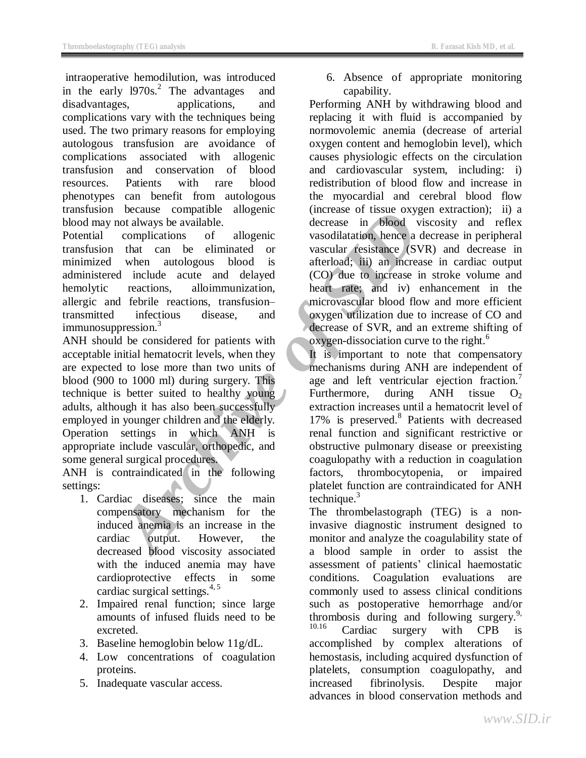intraoperative hemodilution, was introduced in the early l970s. 2 The advantages and disadvantages, applications, and complications vary with the techniques being used. The two primary reasons for employing autologous transfusion are avoidance of complications associated with allogenic transfusion and conservation of blood resources. Patients with rare blood phenotypes can benefit from autologous transfusion because compatible allogenic blood may not always be available.

Potential complications of allogenic transfusion that can be eliminated or minimized when autologous blood is administered include acute and delayed hemolytic reactions, alloimmunization, allergic and febrile reactions, transfusion– transmitted infectious disease, and immunosuppression.<sup>3</sup>

because compatible and engelic (increase in solution, hence a decrease in blood viscomplications of allogenic vasocular fesistance (SVR) when autologous blood is afterbaad; iii) an increase in blood viscomplications, randi ANH should be considered for patients with acceptable initial hematocrit levels, when they are expected to lose more than two units of blood (900 to 1000 ml) during surgery. This technique is better suited to healthy young adults, although it has also been successfully employed in younger children and the elderly. Operation settings in which ANH is appropriate include vascular, orthopedic, and some general surgical procedures.

ANH is contraindicated in the following settings:

- 1. Cardiac diseases; since the main compensatory mechanism for the induced anemia is an increase in the cardiac output. However, the decreased blood viscosity associated with the induced anemia may have cardioprotective effects in some cardiac surgical settings.<sup>4,5</sup>
- 2. Impaired renal function; since large amounts of infused fluids need to be excreted.
- 3. Baseline hemoglobin below 11g/dL.
- 4. Low concentrations of coagulation proteins.
- 5. Inadequate vascular access.

6. Absence of appropriate monitoring capability.

Performing ANH by withdrawing blood and replacing it with fluid is accompanied by normovolemic anemia (decrease of arterial oxygen content and hemoglobin level), which causes physiologic effects on the circulation and cardiovascular system, including: i) redistribution of blood flow and increase in the myocardial and cerebral blood flow (increase of tissue oxygen extraction); ii) a decrease in blood viscosity and reflex vasodilatation, hence a decrease in peripheral vascular resistance (SVR) and decrease in afterload; iii) an increase in cardiac output (CO) due to increase in stroke volume and heart rate; and iv) enhancement in the microvascular blood flow and more efficient oxygen utilization due to increase of CO and decrease of SVR, and an extreme shifting of oxygen-dissociation curve to the right.<sup>6</sup>

It is important to note that compensatory mechanisms during ANH are independent of age and left ventricular ejection fraction.<sup>7</sup> Furthermore, during  $ANH$  tissue  $O<sub>2</sub>$ extraction increases until a hematocrit level of 17% is preserved.<sup>8</sup> Patients with decreased renal function and significant restrictive or obstructive pulmonary disease or preexisting coagulopathy with a reduction in coagulation factors, thrombocytopenia, or impaired platelet function are contraindicated for ANH technique. $3$ 

The thrombelastograph (TEG) is a noninvasive diagnostic instrument designed to monitor and analyze the coagulability state of a blood sample in order to assist the assessment of patients' clinical haemostatic conditions. Coagulation evaluations are commonly used to assess clinical conditions such as postoperative hemorrhage and/or thrombosis during and following surgery. 9,  $^{10.16}$  Cardiac surgery with CPB is accomplished by complex alterations of hemostasis, including acquired dysfunction of platelets, consumption coagulopathy, and increased fibrinolysis. Despite major advances in blood conservation methods and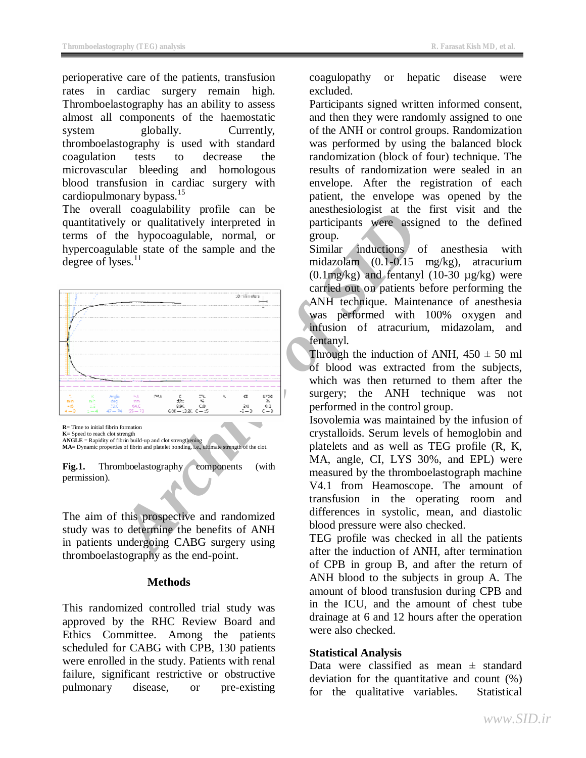perioperative care of the patients, transfusion rates in cardiac surgery remain high. Thromboelastography has an ability to assess almost all components of the haemostatic system globally. Currently, thromboelastography is used with standard coagulation tests to decrease the microvascular bleeding and homologous blood transfusion in cardiac surgery with cardiopulmonary bypass. $15$ 

The overall coagulability profile can be quantitatively or qualitatively interpreted in terms of the hypocoagulable, normal, or hypercoagulable state of the sample and the degree of lyses.<sup>11</sup>



**K**= Speed to reach clot strength **ANGLE** = Rapidity of fibrin build-up and clot strengthening **MA**= Dynamic properties of fibrin and platelet bonding, i.e., ultimate strength of the clot.

**Fig.1.** Thromboelastography components (with permission).

The aim of this prospective and randomized study was to determine the benefits of ANH in patients undergoing CABG surgery using thromboelastography as the end-point.

## **Methods**

This randomized controlled trial study was approved by the RHC Review Board and Ethics Committee. Among the patients scheduled for CABG with CPB, 130 patients were enrolled in the study. Patients with renal failure, significant restrictive or obstructive pulmonary disease, or pre-existing

coagulopathy or hepatic disease were excluded.

Participants signed written informed consent, and then they were randomly assigned to one of the ANH or control groups. Randomization was performed by using the balanced block randomization (block of four) technique. The results of randomization were sealed in an envelope. After the registration of each patient, the envelope was opened by the anesthesiologist at the first visit and the participants were assigned to the defined group.

Similar inductions of anesthesia with midazolam (0.1-0.15 mg/kg), atracurium  $(0.1 \text{mg/kg})$  and fentanyl  $(10-30 \text{ µg/kg})$  were carried out on patients before performing the ANH technique. Maintenance of anesthesia was performed with 100% oxygen and infusion of atracurium, midazolam, and fentanyl.

Through the induction of ANH,  $450 \pm 50$  ml of blood was extracted from the subjects, which was then returned to them after the surgery; the ANH technique was not performed in the control group.

Isovolemia was maintained by the infusion of crystalloids. Serum levels of hemoglobin and platelets and as well as TEG profile (R, K, MA, angle, CI, LYS 30%, and EPL) were measured by the thromboelastograph machine V4.1 from Heamoscope. The amount of transfusion in the operating room and differences in systolic, mean, and diastolic blood pressure were also checked.

TEG profile was checked in all the patients after the induction of ANH, after termination of CPB in group B, and after the return of ANH blood to the subjects in group A. The amount of blood transfusion during CPB and in the ICU, and the amount of chest tube drainage at 6 and 12 hours after the operation were also checked.

## **Statistical Analysis**

Data were classified as mean  $\pm$  standard deviation for the quantitative and count (%) for the qualitative variables. Statistical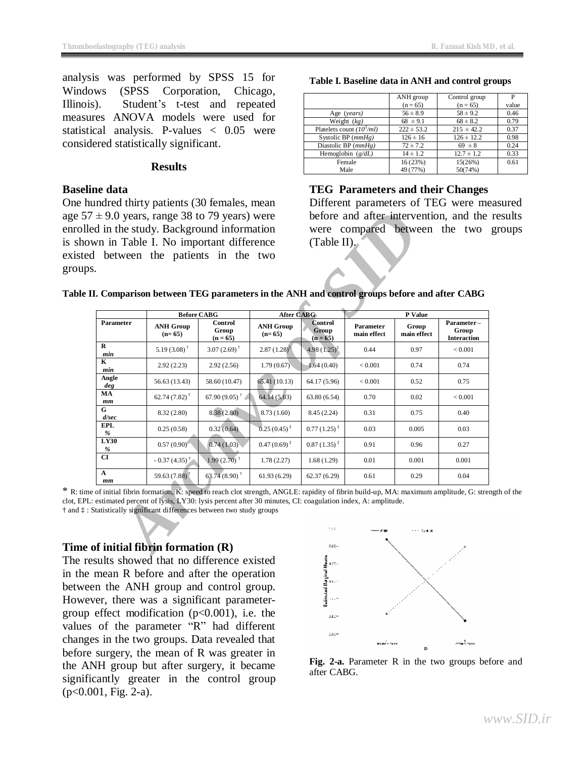analysis was performed by SPSS 15 for Windows (SPSS Corporation, Chicago, Illinois). Student's t-test and repeated measures ANOVA models were used for statistical analysis. P-values < 0.05 were considered statistically significant.

#### **Results**

## **Baseline data**

One hundred thirty patients (30 females, mean age  $57 \pm 9.0$  years, range 38 to 79 years) were enrolled in the study. Background information is shown in Table I. No important difference existed between the patients in the two groups.

|                            | ANH group      | Control group  | P     |
|----------------------------|----------------|----------------|-------|
|                            | $(n = 65)$     | $(n = 65)$     | value |
| Age (years)                | $56 \pm 8.9$   | $58 \pm 9.2$   | 0.46  |
| Weight $(kg)$              | $68 \pm 9.1$   | $68 \pm 8.2$   | 0.79  |
| Platelets count $(103/ml)$ | $222 \pm 53.2$ | $215 \pm 42.2$ | 0.37  |
| Systolic BP $(mmHg)$       | $126 \pm 16$   | $126 \pm 12.2$ | 0.98  |
| Diastolic BP $(mmHg)$      | $72 \pm 7.2$   | $69 \pm 8$     | 0.24  |
| Hemoglobin $(g/dL)$        | $14 \pm 1.2$   | $12.7 \pm 1.2$ | 0.33  |
| Female                     | 16(23%)        | 15(26%)        | 0.61  |
| Male                       | 49 (77%)       | 50(74%)        |       |

**Table I. Baseline data in ANH and control groups** 

# **TEG Parameters and their Changes**

Different parameters of TEG were measured before and after intervention, and the results were compared between the two groups  $(Table II)$ .

**Table II. Comparison between TEG parameters in the ANH and control groups before and after CABG** 

|                 | I. Comparison between TEG parameters in the ANH and control groups before and after CABG                                                                                                                                                   |                                                                |                              |                                       |                          |                      |                                           |
|-----------------|--------------------------------------------------------------------------------------------------------------------------------------------------------------------------------------------------------------------------------------------|----------------------------------------------------------------|------------------------------|---------------------------------------|--------------------------|----------------------|-------------------------------------------|
|                 |                                                                                                                                                                                                                                            | <b>Before CABG</b>                                             | <b>After CABG</b>            |                                       |                          | P Value              |                                           |
| Parameter       | <b>ANH Group</b><br>$(n=65)$                                                                                                                                                                                                               | Control<br>Group<br>$(n = 65)$                                 | <b>ANH Group</b><br>$(n=65)$ | <b>Control</b><br>Group<br>$(n = 65)$ | Parameter<br>main effect | Group<br>main effect | Parameter-<br>Group<br><b>Interaction</b> |
| R<br>min        | $5.19(3.08)$ <sup>†</sup>                                                                                                                                                                                                                  | 3.07 $(2.69)$ <sup>†</sup>                                     | $2.87(1.28)^{4}$             | $4.98(1.25)^{3}$                      | 0.44                     | 0.97                 | < 0.001                                   |
| K<br>min        | 2.92(2.23)                                                                                                                                                                                                                                 | 2.92(2.56)                                                     | 1.79(0.67)                   | 1.64(0.40)                            | < 0.001                  | 0.74                 | 0.74                                      |
| Angle<br>deg    | 56.63 (13.43)                                                                                                                                                                                                                              | 58.60 (10.47)                                                  | 65.41(10.13)                 | 64.17 (5.96)                          | < 0.001                  | 0.52                 | 0.75                                      |
| MА<br>mm        | 62.74 $(7.82)$ <sup>†</sup>                                                                                                                                                                                                                | 67.90 $(9.05)$ <sup>†</sup>                                    | 64.14(5.03)                  | 63.80(6.54)                           | 0.70                     | 0.02                 | < 0.001                                   |
| G<br>d/sec      | 8.32 (2.80)                                                                                                                                                                                                                                | 8.38(2.80)                                                     | 8.73 (1.60)                  | 8.45 (2.24)                           | 0.31                     | 0.75                 | 0.40                                      |
| <b>EPL</b><br>% | 0.25(0.58)                                                                                                                                                                                                                                 | 0.32(0.64)                                                     | $0.25(0.45)^{1}$             | $0.77(1.25)^{1}$                      | 0.03                     | 0.005                | 0.03                                      |
| LY30<br>%       | 0.57(0.90)                                                                                                                                                                                                                                 | 0.74(1.03)                                                     | $0.47(0.69)^{1}$             | $0.87(1.35)^{1}$                      | 0.91                     | 0.96                 | 0.27                                      |
| CI              | $-0.37(4.35)^{\dagger}$                                                                                                                                                                                                                    | $1.99(2.70)$ <sup>†</sup>                                      | 1.78(2.27)                   | 1.68(1.29)                            | 0.01                     | 0.001                | 0.001                                     |
| A<br>mm         | 59.63 (7.88)                                                                                                                                                                                                                               | $63.74(8.90)$ <sup>†</sup>                                     | 61.93(6.29)                  | 62.37(6.29)                           | 0.61                     | 0.29                 | 0.04                                      |
|                 | of initial fibrin formation, K: speed to reach clot strength, ANGLE: rapidity of fibrin build-up, MA: maximum amplitude, G: stre<br>estimated percent of lysis, LY30: lysis percent after 30 minutes, CI: coagulation index, A: amplitude. | Statistically significant differences between two study groups |                              |                                       |                          |                      |                                           |

\* R: time of initial fibrin formation, K: speed to reach clot strength, ANGLE: rapidity of fibrin build-up, MA: maximum amplitude, G: strength of the clot, EPL: estimated percent of lysis, LY30: lysis percent after 30 minutes, CI: coagulation index, A: amplitude.

† and ‡ : Statistically significant differences between two study groups

## **Time of initial fibrin formation (R)**

The results showed that no difference existed in the mean R before and after the operation between the ANH group and control group. However, there was a significant parametergroup effect modification  $(p<0.001)$ , i.e. the values of the parameter "R" had different changes in the two groups. Data revealed that before surgery, the mean of R was greater in the ANH group but after surgery, it became significantly greater in the control group (p<0.001, Fig. 2-a).



**Fig. 2-a.** Parameter R in the two groups before and after CABG.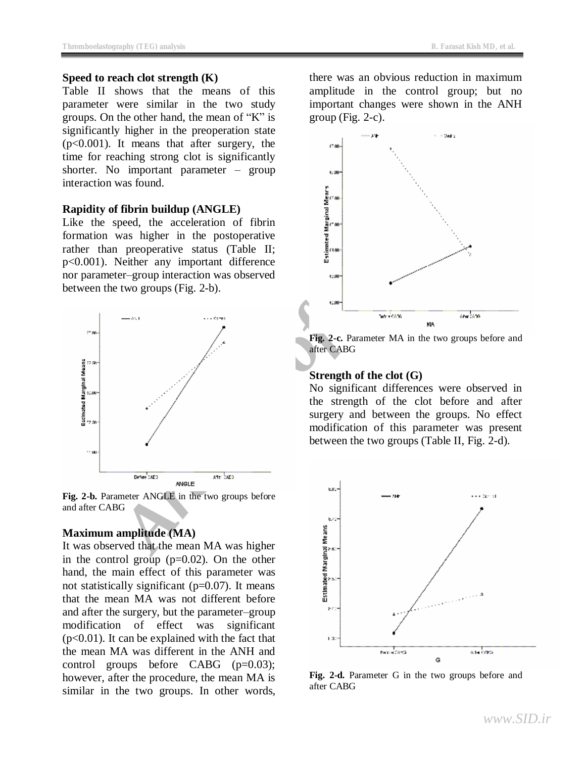#### **Speed to reach clot strength (K)**

Table II shows that the means of this parameter were similar in the two study groups. On the other hand, the mean of "K" is significantly higher in the preoperation state (p<0.001). It means that after surgery, the time for reaching strong clot is significantly shorter. No important parameter – group interaction was found.

#### **Rapidity of fibrin buildup (ANGLE)**

Like the speed, the acceleration of fibrin formation was higher in the postoperative rather than preoperative status (Table II; p<0.001). Neither any important difference nor parameter–group interaction was observed between the two groups (Fig. 2-b).



**Fig. 2-b.** Parameter ANGLE in the two groups before and after CABG

## **Maximum amplitude (MA)**

It was observed that the mean MA was higher in the control group  $(p=0.02)$ . On the other hand, the main effect of this parameter was not statistically significant  $(p=0.07)$ . It means that the mean MA was not different before and after the surgery, but the parameter–group modification of effect was significant  $(p<0.01)$ . It can be explained with the fact that the mean MA was different in the ANH and control groups before CABG  $(p=0.03)$ ; however, after the procedure, the mean MA is similar in the two groups. In other words,

there was an obvious reduction in maximum amplitude in the control group; but no important changes were shown in the ANH group (Fig.  $2-c$ ).



**Fig. 2-c.** Parameter MA in the two groups before and after CABG

#### **Strength of the clot (G)**

No significant differences were observed in the strength of the clot before and after surgery and between the groups. No effect modification of this parameter was present between the two groups (Table II, Fig. 2-d).



**Fig. 2-d.** Parameter G in the two groups before and after CABG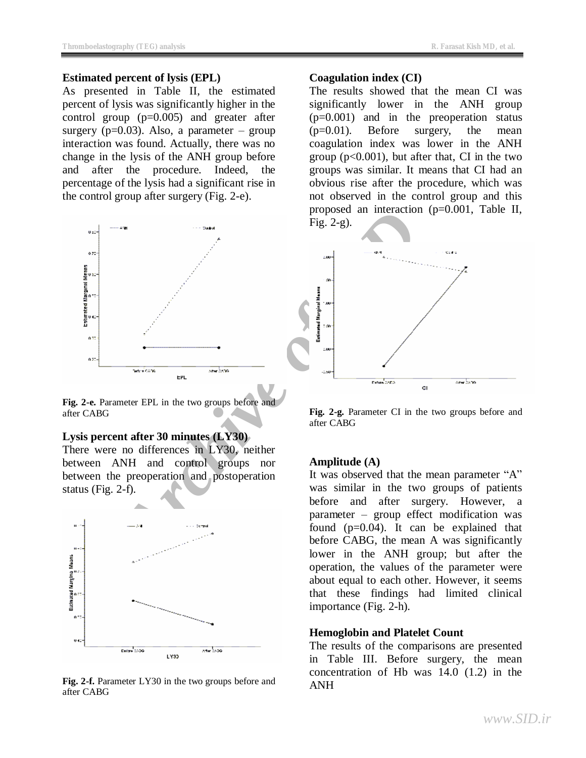#### **Estimated percent of lysis (EPL)**

As presented in Table II, the estimated percent of lysis was significantly higher in the control group (p=0.005) and greater after surgery ( $p=0.03$ ). Also, a parameter – group interaction was found. Actually, there was no change in the lysis of the ANH group before and after the procedure. Indeed, the percentage of the lysis had a significant rise in the control group after surgery (Fig. 2-e).



**Fig. 2-e.** Parameter EPL in the two groups before and after CABG

#### **Lysis percent after 30 minutes (LY30)**

There were no differences in LY30, neither between ANH and control groups nor between the preoperation and postoperation status (Fig. 2-f).



**Fig. 2-f.** Parameter LY30 in the two groups before and after CABG

#### **Coagulation index (CI)**

The results showed that the mean CI was significantly lower in the ANH group (p=0.001) and in the preoperation status (p=0.01). Before surgery, the mean coagulation index was lower in the ANH group (p<0.001), but after that, CI in the two groups was similar. It means that CI had an obvious rise after the procedure, which was not observed in the control group and this proposed an interaction (p=0.001, Table II, Fig. 2-g).



**Fig. 2-g.** Parameter CI in the two groups before and after CABG

#### **Amplitude (A)**

It was observed that the mean parameter "A" was similar in the two groups of patients before and after surgery. However, a parameter – group effect modification was found (p=0.04). It can be explained that before CABG, the mean A was significantly lower in the ANH group; but after the operation, the values of the parameter were about equal to each other. However, it seems that these findings had limited clinical importance (Fig. 2-h).

### **Hemoglobin and Platelet Count**

The results of the comparisons are presented in Table III. Before surgery, the mean concentration of Hb was 14.0 (1.2) in the ANH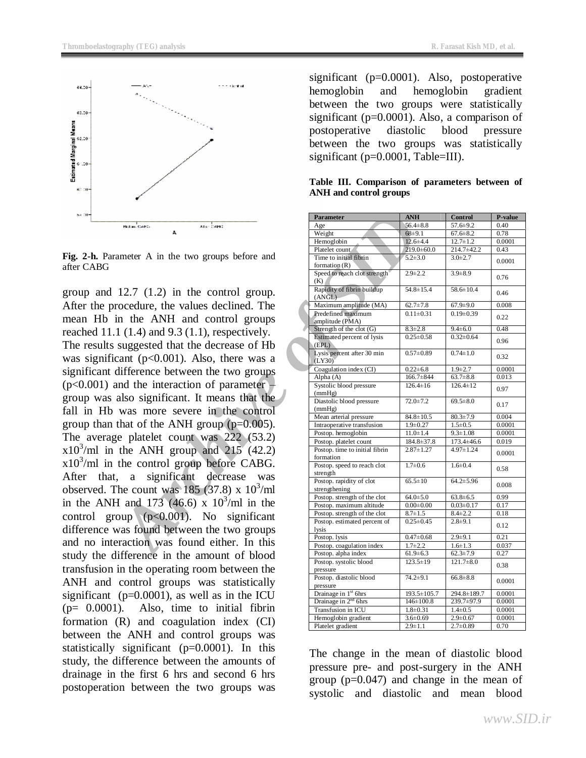

**Fig. 2-h.** Parameter A in the two groups before and after CABG

group and 12.7 (1.2) in the control group. After the procedure, the values declined. The mean Hb in the ANH and control groups reached 11.1  $(1.4)$  and 9.3  $(1.1)$ , respectively. The results suggested that the decrease of Hb was significant ( $p<0.001$ ). Also, there was a significant difference between the two groups  $(p<0.001)$  and the interaction of parameter – group was also significant. It means that the fall in Hb was more severe in the control group than that of the ANH group  $(p=0.005)$ . The average platelet count was 222 (53.2)  $x10^3$ /ml in the ANH group and 215 (42.2)  $x10^3$ /ml in the control group before CABG. After that, a significant decrease was observed. The count was  $185$  (37.8) x  $10^3$ /ml in the ANH and 173 (46.6) x  $10^3$ /ml in the control group  $(p<0.001)$ . No significant difference was found between the two groups and no interaction was found either. In this study the difference in the amount of blood transfusion in the operating room between the ANH and control groups was statistically significant ( $p=0.0001$ ), as well as in the ICU  $(p= 0.0001)$ . Also, time to initial fibrin formation (R) and coagulation index (CI) between the ANH and control groups was statistically significant (p=0.0001). In this study, the difference between the amounts of drainage in the first 6 hrs and second 6 hrs postoperation between the two groups was

significant (p=0.0001). Also, postoperative hemoglobin and hemoglobin gradient between the two groups were statistically significant (p=0.0001). Also, a comparison of postoperative diastolic blood pressure between the two groups was statistically significant (p=0.0001, Table=III).

|  | Table III. Comparison of parameters between of |  |  |
|--|------------------------------------------------|--|--|
|  | ANH and control groups                         |  |  |

|                                                 | <b>Parameter</b>                                         | <b>ANH</b>                       | <b>Control</b>                   | P-value          |
|-------------------------------------------------|----------------------------------------------------------|----------------------------------|----------------------------------|------------------|
| are baad<br>Bidge GARD                          | Age                                                      | $56.4 \pm 8.8$                   | $57.6 \pm 9.2$                   | 0.40             |
|                                                 | Weight                                                   | $68 + 9.1$                       | $67.6 \pm 8.2$                   | 0.78             |
|                                                 | Hemoglobin                                               | $12.6 \pm 4.4$                   | $12.7 \pm 1.2$                   | 0.0001           |
| ameter A in the two groups before and           | Platelet count                                           | $219.0 \pm 60.0$                 | 214.7±42.2                       | 0.43             |
|                                                 | Time to initial fibrin<br>formation $(R)$                | $5.2 \pm 3.0$                    | $3.0 \pm 2.7$                    | 0.0001           |
|                                                 | Speed to reach clot strength                             | $2.9 \pm 2.2$                    | $3.9 + 8.9$                      |                  |
|                                                 | (K)                                                      |                                  |                                  | 0.76             |
| $12.7$ $(1.2)$ in the control group.            | Rapidity of fibrin buildup<br>(ANGL)                     | $54.8 \pm 15.4$                  | $58.6 \pm 10.4$                  | 0.46             |
| rocedure, the values declined. The              | Maximum amplitude (MA)                                   | $62.7 \pm 7.8$                   | $67.9 \pm 9.0$                   | 0.008            |
|                                                 | Predefined maximum                                       | $0.11 \pm 0.31$                  | $0.19 \pm 0.39$                  | 0.22             |
| in the ANH and control groups                   | amplitude (PMA)                                          |                                  |                                  |                  |
| $1(1.4)$ and $9.3(1.1)$ , respectively.         | Strength of the clot $(G)$<br>Estimated percent of lysis | $8.3 \pm 2.8$<br>$0.25 \pm 0.58$ | $9.4 \pm 6.0$<br>$0.32 \pm 0.64$ | 0.48             |
| suggested that the decrease of Hb               | (EPL)                                                    |                                  |                                  | 0.96             |
| cant ( $p<0.001$ ). Also, there was a           | Lysis percent after 30 min<br>(LY30)                     | $0.57 \pm 0.89$                  | $0.74 \pm 1.0$                   | 0.32             |
| difference between the two groups               | Coagulation index (CI)                                   | $0.22 \pm 6.8$                   | $1.9 + 2.7$                      | 0.0001           |
|                                                 | Alpha $(A)$                                              | 166.7±844                        | $63.7 \pm 8.8$                   | 0.013            |
| and the interaction of parameter –              | Systolic blood pressure                                  | $126.4 \pm 16$                   | $126.4 \pm 12$                   | 0.97             |
| also significant. It means that the             | (mmHg)<br>Diastolic blood pressure                       | $72.0 \pm 7.2$                   | $69.5 \pm 8.0$                   |                  |
|                                                 | (mmHg)                                                   |                                  |                                  | 0.17             |
| was more severe in the control                  | Mean arterial pressure                                   | $\overline{84.8}$ ± 10.5         | $80.3 \pm 7.9$                   | 0.004            |
| that of the ANH group ( $p=0.005$ ).            | Intraoperative transfusion                               | $1.9 \pm 0.27$                   | $1.5 \pm 0.5$                    | 0.0001           |
| ge platelet count was $222 \cdot (53.2)$        | Postop. hemoglobin                                       | $11.0 \pm 1.4$                   | $9.3 \pm 1.08$                   | 0.0001           |
|                                                 | Postop. platelet count                                   | 184.8±37.8                       | $173.4 \pm 46.6$                 | 0.019            |
| the ANH group and $215$ (42.2)                  | Postop. time to initial fibrin<br>formation              | $2.87 \pm 1.27$                  | $4.97 \pm 1.24$                  | 0.0001           |
| the control group before CABG.                  | Postop. speed to reach clot                              | $1.7 \pm 0.6$                    | $1.6 \pm 0.4$                    | 0.58             |
| significant decrease<br>was<br>a                | strength                                                 |                                  |                                  |                  |
|                                                 | Postop. rapidity of clot<br>strengthening                | $65.5 \pm 10$                    | $64.2 \pm 5.96$                  | 0.008            |
| The count was $185(37.8) \times 10^{3}$ /ml     | Postop. strength of the clot                             | $64.0 \pm 5.0$                   | $63.8 \pm 6.5$                   | 0.99             |
| H and 173 $(46.6)$ x 10 <sup>3</sup> /ml in the | Postop. maximum altitude                                 | $0.00 \pm 0.00$                  | $0.03 \pm 0.17$                  | 0.17             |
| oup $(p<0.001)$ . No significant                | Postop. strength of the clot                             | $8.7 \pm 1.5$                    | $8.4 \pm 2.2$                    | 0.18             |
| was found between the two groups                | Postop. estimated percent of<br>lysis                    | $0.25 \pm 0.45$                  | $2.8 + 9.1$                      | 0.12             |
|                                                 | Postop. lysis                                            | $0.47 \pm 0.68$                  | $2.9 + 9.1$                      | 0.21             |
| eraction was found either. In this              | Postop. coagulation index                                | $1.7 \pm 2.2$                    | $1.6 \pm 1.3$                    | 0.037            |
| lifference in the amount of blood               | Postop. alpha index                                      | $61.9 \pm 6.3$                   | $62.3 \pm 7.9$                   | 0.27             |
| in the operating room between the               | Postop. systolic blood<br>pressure                       | $123.5 \pm 19$                   | $121.7 \pm 8.0$                  | 0.38             |
|                                                 | Postop. diastolic blood                                  | $74.2 \pm 9.1$                   | $66.8 \pm 8.8$                   |                  |
| control groups was statistically                | pressure                                                 |                                  |                                  | 0.0001           |
| $(p=0.0001)$ , as well as in the ICU            | Drainage in 1 <sup>st</sup> 6hrs                         | 193.5±105.7                      | 294.8±189.7                      | 0.0001           |
| Also, time to initial fibrin<br>.).             | Drainage in 2 <sup>nd</sup> 6hrs                         | $146 \pm 100.8$                  | 239.7±97.9                       | 0.0001           |
|                                                 | Transfusion in ICU<br>Hemoglobin gradient                | $1.8 \pm 0.31$<br>$3.6 \pm 0.69$ | $1.4 \pm 0.5$<br>$2.9 \pm 0.67$  | 0.0001<br>0.0001 |
| (R) and coagulation index (CI)                  | Platelet gradient                                        | $2.9 \pm 1.1$                    | $2.7 \pm 0.89$                   | 0.70             |
|                                                 |                                                          |                                  |                                  |                  |

The change in the mean of diastolic blood pressure pre- and post-surgery in the ANH group (p=0.047) and change in the mean of systolic and diastolic and mean blood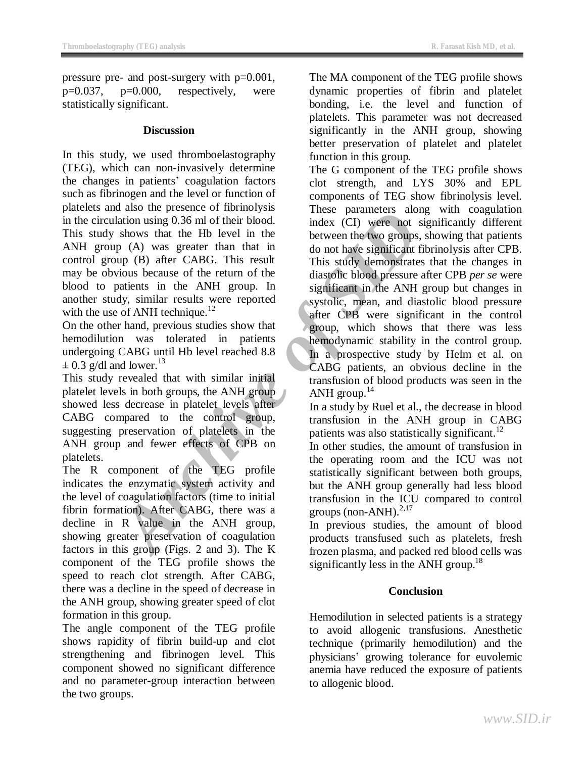pressure pre- and post-surgery with p=0.001,  $p=0.037$ ,  $p=0.000$ , respectively, were statistically significant.

## **Discussion**

In this study, we used thromboelastography (TEG), which can non-invasively determine the changes in patients' coagulation factors such as fibrinogen and the level or function of platelets and also the presence of fibrinolysis in the circulation using 0.36 ml of their blood. This study shows that the Hb level in the ANH group (A) was greater than that in control group (B) after CABG. This result may be obvious because of the return of the blood to patients in the ANH group. In another study, similar results were reported with the use of ANH technique.<sup>12</sup>

On the other hand, previous studies show that hemodilution was tolerated in patients undergoing CABG until Hb level reached 8.8  $\pm$  0.3 g/dl and lower.<sup>13</sup>

This study revealed that with similar initial platelet levels in both groups, the ANH group showed less decrease in platelet levels after CABG compared to the control group, suggesting preservation of platelets in the ANH group and fewer effects of CPB on platelets.

The R component of the TEG profile indicates the enzymatic system activity and the level of coagulation factors (time to initial fibrin formation). After CABG, there was a decline in R value in the ANH group, showing greater preservation of coagulation factors in this group (Figs. 2 and 3). The K component of the TEG profile shows the speed to reach clot strength. After CABG, there was a decline in the speed of decrease in the ANH group, showing greater speed of clot formation in this group.

The angle component of the TEG profile shows rapidity of fibrin build-up and clot strengthening and fibrinogen level. This component showed no significant difference and no parameter-group interaction between the two groups.

The MA component of the TEG profile shows dynamic properties of fibrin and platelet bonding, i.e. the level and function of platelets. This parameter was not decreased significantly in the ANH group, showing better preservation of platelet and platelet function in this group.

and and power effects of channelists and<br>
or and the power and the stress plane term and the stress of the term of the diastofic bood index (CI) were not sign<br>
and about and the HD level in the between the two groups, show The G component of the TEG profile shows clot strength, and LYS 30% and EPL components of TEG show fibrinolysis level. These parameters along with coagulation index (CI) were not significantly different between the two groups, showing that patients do not have significant fibrinolysis after CPB. This study demonstrates that the changes in diastolic blood pressure after CPB *per se* were significant in the ANH group but changes in systolic, mean, and diastolic blood pressure after CPB were significant in the control group, which shows that there was less hemodynamic stability in the control group. In a prospective study by Helm et al. on CABG patients, an obvious decline in the transfusion of blood products was seen in the ANH group. $^{14}$ 

In a study by Ruel et al., the decrease in blood transfusion in the ANH group in CABG patients was also statistically significant. $^{12}$ 

In other studies, the amount of transfusion in the operating room and the ICU was not statistically significant between both groups, but the ANH group generally had less blood transfusion in the ICU compared to control groups (non-ANH). $^{2,17}$ 

In previous studies, the amount of blood products transfused such as platelets, fresh frozen plasma, and packed red blood cells was significantly less in the ANH group.<sup>18</sup>

## **Conclusion**

Hemodilution in selected patients is a strategy to avoid allogenic transfusions. Anesthetic technique (primarily hemodilution) and the physicians' growing tolerance for euvolemic anemia have reduced the exposure of patients to allogenic blood.